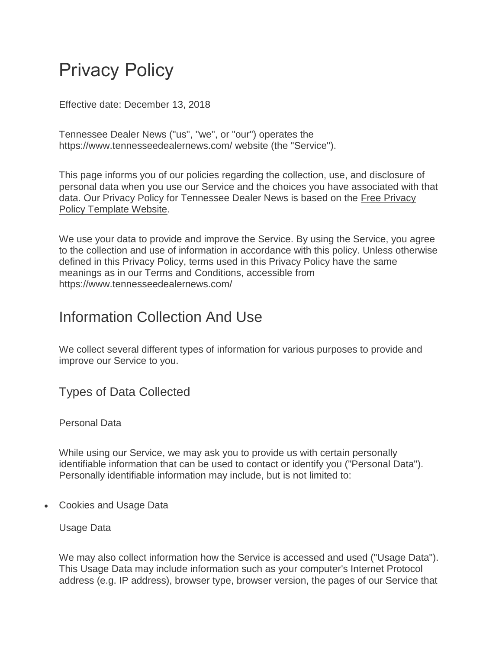# Privacy Policy

Effective date: December 13, 2018

Tennessee Dealer News ("us", "we", or "our") operates the https://www.tennesseedealernews.com/ website (the "Service").

This page informs you of our policies regarding the collection, use, and disclosure of personal data when you use our Service and the choices you have associated with that data. Our Privacy Policy for Tennessee Dealer News is based on the [Free Privacy](https://www.freeprivacypolicy.com/blog/sample-privacy-policy-template/)  [Policy Template Website.](https://www.freeprivacypolicy.com/blog/sample-privacy-policy-template/)

We use your data to provide and improve the Service. By using the Service, you agree to the collection and use of information in accordance with this policy. Unless otherwise defined in this Privacy Policy, terms used in this Privacy Policy have the same meanings as in our Terms and Conditions, accessible from https://www.tennesseedealernews.com/

### Information Collection And Use

We collect several different types of information for various purposes to provide and improve our Service to you.

Types of Data Collected

Personal Data

While using our Service, we may ask you to provide us with certain personally identifiable information that can be used to contact or identify you ("Personal Data"). Personally identifiable information may include, but is not limited to:

• Cookies and Usage Data

Usage Data

We may also collect information how the Service is accessed and used ("Usage Data"). This Usage Data may include information such as your computer's Internet Protocol address (e.g. IP address), browser type, browser version, the pages of our Service that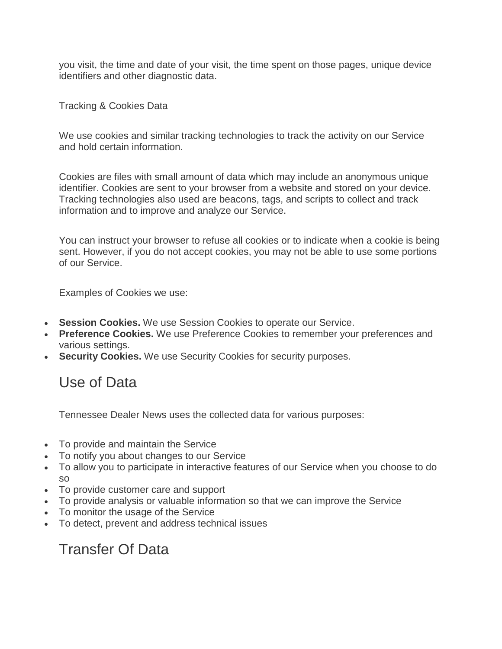you visit, the time and date of your visit, the time spent on those pages, unique device identifiers and other diagnostic data.

Tracking & Cookies Data

We use cookies and similar tracking technologies to track the activity on our Service and hold certain information.

Cookies are files with small amount of data which may include an anonymous unique identifier. Cookies are sent to your browser from a website and stored on your device. Tracking technologies also used are beacons, tags, and scripts to collect and track information and to improve and analyze our Service.

You can instruct your browser to refuse all cookies or to indicate when a cookie is being sent. However, if you do not accept cookies, you may not be able to use some portions of our Service.

Examples of Cookies we use:

- **Session Cookies.** We use Session Cookies to operate our Service.
- **Preference Cookies.** We use Preference Cookies to remember your preferences and various settings.
- **Security Cookies.** We use Security Cookies for security purposes.

### Use of Data

Tennessee Dealer News uses the collected data for various purposes:

- To provide and maintain the Service
- To notify you about changes to our Service
- To allow you to participate in interactive features of our Service when you choose to do so
- To provide customer care and support
- To provide analysis or valuable information so that we can improve the Service
- To monitor the usage of the Service
- To detect, prevent and address technical issues

Transfer Of Data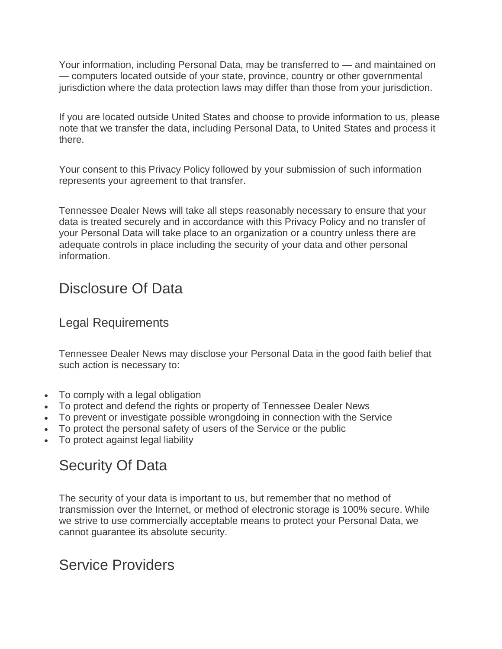Your information, including Personal Data, may be transferred to — and maintained on — computers located outside of your state, province, country or other governmental jurisdiction where the data protection laws may differ than those from your jurisdiction.

If you are located outside United States and choose to provide information to us, please note that we transfer the data, including Personal Data, to United States and process it there.

Your consent to this Privacy Policy followed by your submission of such information represents your agreement to that transfer.

Tennessee Dealer News will take all steps reasonably necessary to ensure that your data is treated securely and in accordance with this Privacy Policy and no transfer of your Personal Data will take place to an organization or a country unless there are adequate controls in place including the security of your data and other personal information.

# Disclosure Of Data

#### Legal Requirements

Tennessee Dealer News may disclose your Personal Data in the good faith belief that such action is necessary to:

- To comply with a legal obligation
- To protect and defend the rights or property of Tennessee Dealer News
- To prevent or investigate possible wrongdoing in connection with the Service
- To protect the personal safety of users of the Service or the public
- To protect against legal liability

## Security Of Data

The security of your data is important to us, but remember that no method of transmission over the Internet, or method of electronic storage is 100% secure. While we strive to use commercially acceptable means to protect your Personal Data, we cannot guarantee its absolute security.

### Service Providers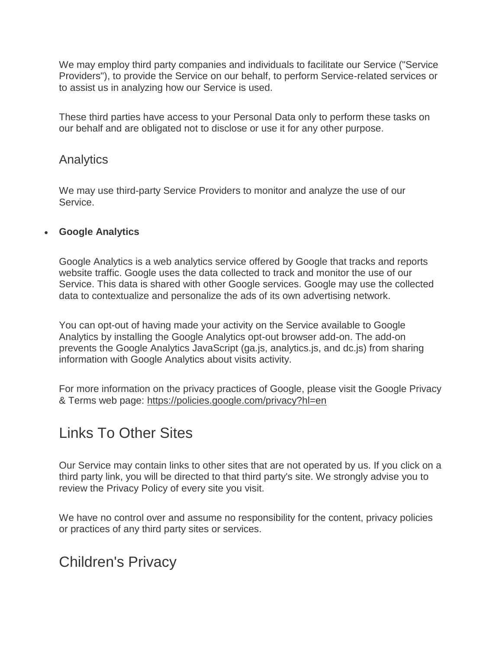We may employ third party companies and individuals to facilitate our Service ("Service Providers"), to provide the Service on our behalf, to perform Service-related services or to assist us in analyzing how our Service is used.

These third parties have access to your Personal Data only to perform these tasks on our behalf and are obligated not to disclose or use it for any other purpose.

#### **Analytics**

We may use third-party Service Providers to monitor and analyze the use of our Service.

#### • **Google Analytics**

Google Analytics is a web analytics service offered by Google that tracks and reports website traffic. Google uses the data collected to track and monitor the use of our Service. This data is shared with other Google services. Google may use the collected data to contextualize and personalize the ads of its own advertising network.

You can opt-out of having made your activity on the Service available to Google Analytics by installing the Google Analytics opt-out browser add-on. The add-on prevents the Google Analytics JavaScript (ga.js, analytics.js, and dc.js) from sharing information with Google Analytics about visits activity.

For more information on the privacy practices of Google, please visit the Google Privacy & Terms web page: <https://policies.google.com/privacy?hl=en>

## Links To Other Sites

Our Service may contain links to other sites that are not operated by us. If you click on a third party link, you will be directed to that third party's site. We strongly advise you to review the Privacy Policy of every site you visit.

We have no control over and assume no responsibility for the content, privacy policies or practices of any third party sites or services.

### Children's Privacy